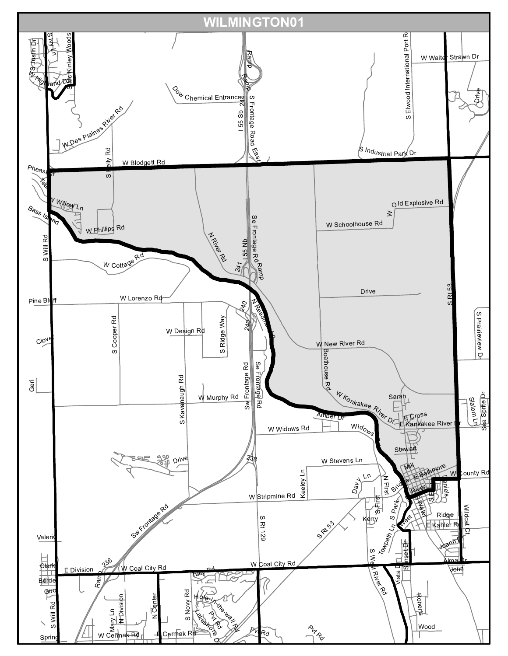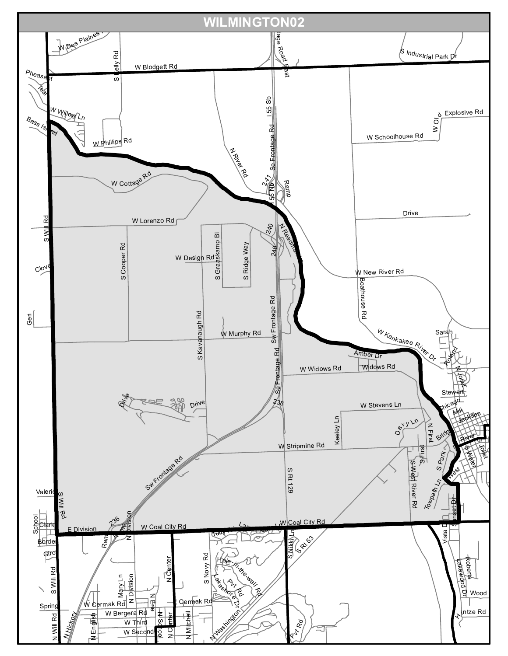